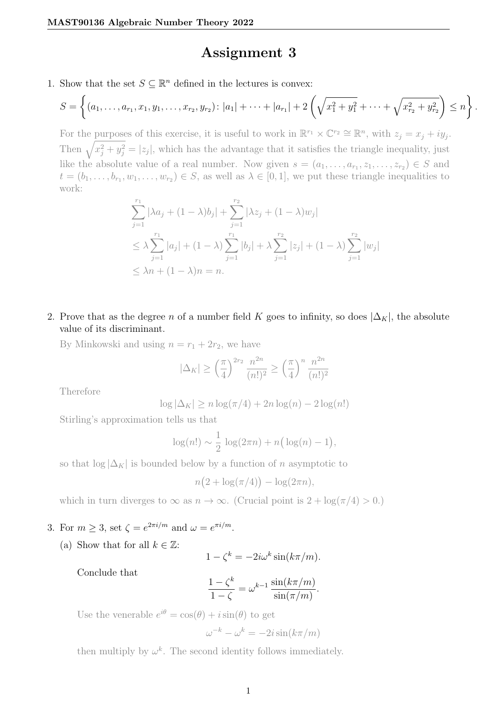## Assignment 3

1. Show that the set  $S \subseteq \mathbb{R}^n$  defined in the lectures is convex:

$$
S = \left\{ (a_1, \ldots, a_{r_1}, x_1, y_1, \ldots, x_{r_2}, y_{r_2}) : |a_1| + \cdots + |a_{r_1}| + 2 \left( \sqrt{x_1^2 + y_1^2} + \cdots + \sqrt{x_{r_2}^2 + y_{r_2}^2} \right) \leq n \right\}.
$$

For the purposes of this exercise, it is useful to work in  $\mathbb{R}^{r_1} \times \mathbb{C}^{r_2} \cong \mathbb{R}^n$ , with  $z_j = x_j + iy_j$ . Then  $\sqrt{x_j^2 + y_j^2} = |z_j|$ , which has the advantage that it satisfies the triangle inequality, just like the absolute value of a real number. Now given  $s = (a_1, \ldots, a_{r_1}, z_1, \ldots, z_{r_2}) \in S$  and  $t=(b_1,\ldots,b_{r_1},w_1,\ldots,w_{r_2})\in S$ , as well as  $\lambda\in[0,1]$ , we put these triangle inequalities to work:

$$
\sum_{j=1}^{r_1} |\lambda a_j + (1 - \lambda) b_j| + \sum_{j=1}^{r_2} |\lambda z_j + (1 - \lambda) w_j|
$$
  
\n
$$
\leq \lambda \sum_{j=1}^{r_1} |a_j| + (1 - \lambda) \sum_{j=1}^{r_1} |b_j| + \lambda \sum_{j=1}^{r_2} |z_j| + (1 - \lambda) \sum_{j=1}^{r_2} |w_j|
$$
  
\n
$$
\leq \lambda n + (1 - \lambda)n = n.
$$

2. Prove that as the degree n of a number field K goes to infinity, so does  $|\Delta_K|$ , the absolute value of its discriminant.

By Minkowski and using  $n = r_1 + 2r_2$ , we have

$$
|\Delta_K| \ge \left(\frac{\pi}{4}\right)^{2r_2} \frac{n^{2n}}{(n!)^2} \ge \left(\frac{\pi}{4}\right)^n \frac{n^{2n}}{(n!)^2}
$$

Therefore

$$
\log |\Delta_K| \ge n \log(\pi/4) + 2n \log(n) - 2 \log(n!)
$$

Stirling's approximation tells us that

$$
\log(n!) \sim \frac{1}{2} \log(2\pi n) + n\left(\log(n) - 1\right),
$$

so that  $\log |\Delta_K|$  is bounded below by a function of n asymptotic to

$$
n(2 + \log(\pi/4)) - \log(2\pi n),
$$

which in turn diverges to  $\infty$  as  $n \to \infty$ . (Crucial point is  $2 + \log(\pi/4) > 0$ .)

## 3. For  $m \geq 3$ , set  $\zeta = e^{2\pi i/m}$  and  $\omega = e^{\pi i/m}$ .

(a) Show that for all  $k \in \mathbb{Z}$ :

$$
1 - \zeta^k = -2i\omega^k \sin(k\pi/m).
$$

Conclude that

$$
\frac{1-\zeta^k}{1-\zeta} = \omega^{k-1} \frac{\sin(k\pi/m)}{\sin(\pi/m)}.
$$

Use the venerable  $e^{i\theta} = \cos(\theta) + i\sin(\theta)$  to get

$$
\omega^{-k} - \omega^k = -2i\sin(k\pi/m)
$$

then multiply by  $\omega^k$ . The second identity follows immediately.